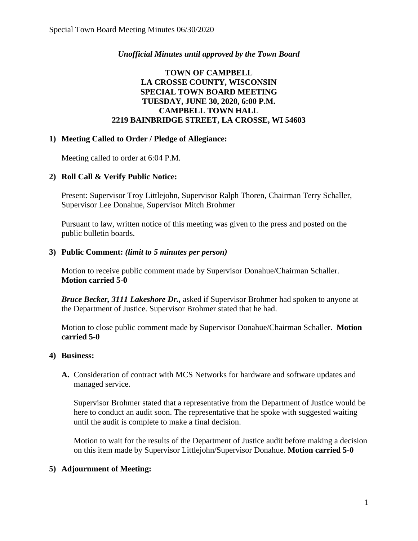## *Unofficial Minutes until approved by the Town Board*

# **TOWN OF CAMPBELL LA CROSSE COUNTY, WISCONSIN SPECIAL TOWN BOARD MEETING TUESDAY, JUNE 30, 2020, 6:00 P.M. CAMPBELL TOWN HALL 2219 BAINBRIDGE STREET, LA CROSSE, WI 54603**

### **1) Meeting Called to Order / Pledge of Allegiance:**

Meeting called to order at 6:04 P.M.

### **2) Roll Call & Verify Public Notice:**

Present: Supervisor Troy Littlejohn, Supervisor Ralph Thoren, Chairman Terry Schaller, Supervisor Lee Donahue, Supervisor Mitch Brohmer

Pursuant to law, written notice of this meeting was given to the press and posted on the public bulletin boards.

### **3) Public Comment:** *(limit to 5 minutes per person)*

Motion to receive public comment made by Supervisor Donahue/Chairman Schaller. **Motion carried 5-0**

*Bruce Becker, 3111 Lakeshore Dr.,* asked if Supervisor Brohmer had spoken to anyone at the Department of Justice. Supervisor Brohmer stated that he had.

Motion to close public comment made by Supervisor Donahue/Chairman Schaller. **Motion carried 5-0**

### **4) Business:**

**A.** Consideration of contract with MCS Networks for hardware and software updates and managed service.

Supervisor Brohmer stated that a representative from the Department of Justice would be here to conduct an audit soon. The representative that he spoke with suggested waiting until the audit is complete to make a final decision.

Motion to wait for the results of the Department of Justice audit before making a decision on this item made by Supervisor Littlejohn/Supervisor Donahue. **Motion carried 5-0**

# **5) Adjournment of Meeting:**